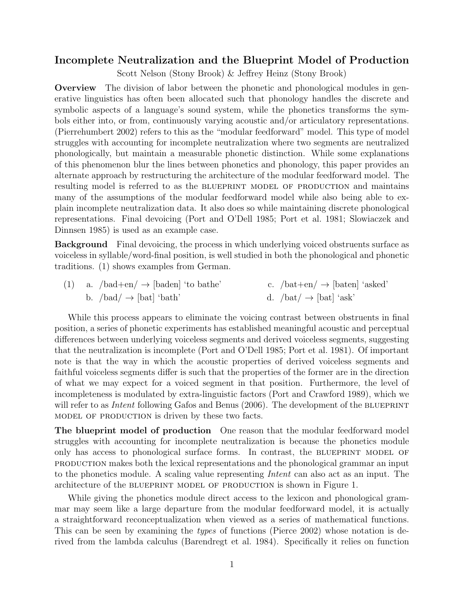## Incomplete Neutralization and the Blueprint Model of Production

Scott Nelson (Stony Brook) & Jeffrey Heinz (Stony Brook)

Overview The division of labor between the phonetic and phonological modules in generative linguistics has often been allocated such that phonology handles the discrete and symbolic aspects of a language's sound system, while the phonetics transforms the symbols either into, or from, continuously varying acoustic and/or articulatory representations. (Pierrehumbert 2002) refers to this as the "modular feedforward" model. This type of model struggles with accounting for incomplete neutralization where two segments are neutralized phonologically, but maintain a measurable phonetic distinction. While some explanations of this phenomenon blur the lines between phonetics and phonology, this paper provides an alternate approach by restructuring the architecture of the modular feedforward model. The resulting model is referred to as the BLUEPRINT MODEL OF PRODUCTION and maintains many of the assumptions of the modular feedforward model while also being able to explain incomplete neutralization data. It also does so while maintaining discrete phonological representations. Final devoicing (Port and O'Dell 1985; Port et al. 1981; Slowiaczek and Dinnsen 1985) is used as an example case.

Background Final devoicing, the process in which underlying voiced obstruents surface as voiceless in syllable/word-final position, is well studied in both the phonological and phonetic traditions. (1) shows examples from German.

| (1) a. $/bad+en \rightarrow [baden] 'to bathe'$ | c. $/\text{bat+en}/\rightarrow$ [baten] 'asked' |
|-------------------------------------------------|-------------------------------------------------|
| b. $\beta$ bad $\rightarrow$ [bat] 'bath'       | d. $/bat/\rightarrow$ [bat] 'ask'               |

While this process appears to eliminate the voicing contrast between obstruents in final position, a series of phonetic experiments has established meaningful acoustic and perceptual differences between underlying voiceless segments and derived voiceless segments, suggesting that the neutralization is incomplete (Port and O'Dell 1985; Port et al. 1981). Of important note is that the way in which the acoustic properties of derived voiceless segments and faithful voiceless segments differ is such that the properties of the former are in the direction of what we may expect for a voiced segment in that position. Furthermore, the level of incompleteness is modulated by extra-linguistic factors (Port and Crawford 1989), which we will refer to as *Intent* following Gafos and Benus  $(2006)$ . The development of the BLUEPRINT model of production is driven by these two facts.

The blueprint model of production One reason that the modular feedforward model struggles with accounting for incomplete neutralization is because the phonetics module only has access to phonological surface forms. In contrast, the BLUEPRINT MODEL OF production makes both the lexical representations and the phonological grammar an input to the phonetics module. A scaling value representing Intent can also act as an input. The architecture of the blueprint model of production is shown in Figure 1.

While giving the phonetics module direct access to the lexicon and phonological grammar may seem like a large departure from the modular feedforward model, it is actually a straightforward reconceptualization when viewed as a series of mathematical functions. This can be seen by examining the *types* of functions (Pierce 2002) whose notation is derived from the lambda calculus (Barendregt et al. 1984). Specifically it relies on function